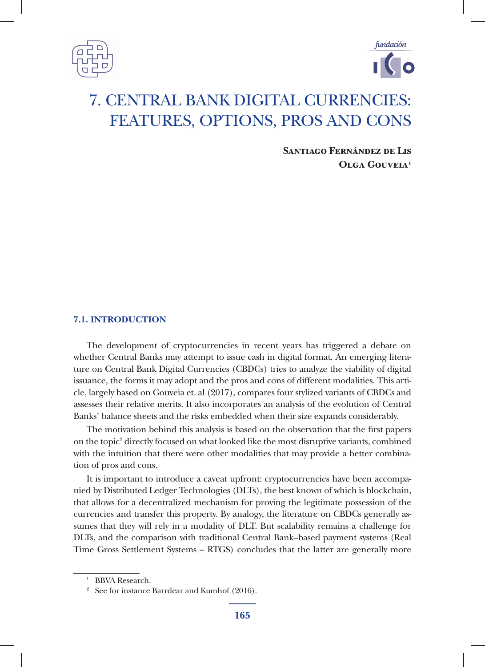



**Santiago Fernández de Lis Olga Gouveia1**

### **7.1. INTRODUCTION**

The development of cryptocurrencies in recent years has triggered a debate on whether Central Banks may attempt to issue cash in digital format. An emerging literature on Central Bank Digital Currencies (CBDCs) tries to analyze the viability of digital issuance, the forms it may adopt and the pros and cons of different modalities. This article, largely based on Gouveia et. al (2017), compares four stylized variants of CBDCs and assesses their relative merits. It also incorporates an analysis of the evolution of Central Banks' balance sheets and the risks embedded when their size expands considerably.

The motivation behind this analysis is based on the observation that the first papers on the topic<sup>2</sup> directly focused on what looked like the most disruptive variants, combined with the intuition that there were other modalities that may provide a better combination of pros and cons.

It is important to introduce a caveat upfront: cryptocurrencies have been accompanied by Distributed Ledger Technologies (DLTs), the best known of which is blockchain, that allows for a decentralized mechanism for proving the legitimate possession of the currencies and transfer this property. By analogy, the literature on CBDCs generally assumes that they will rely in a modality of DLT. But scalability remains a challenge for DLTs, and the comparison with traditional Central Bank–based payment systems (Real Time Gross Settlement Systems – RTGS) concludes that the latter are generally more

<sup>&</sup>lt;sup>1</sup> BBVA Research.

<sup>&</sup>lt;sup>2</sup> See for instance Barrdear and Kumhof  $(2016)$ .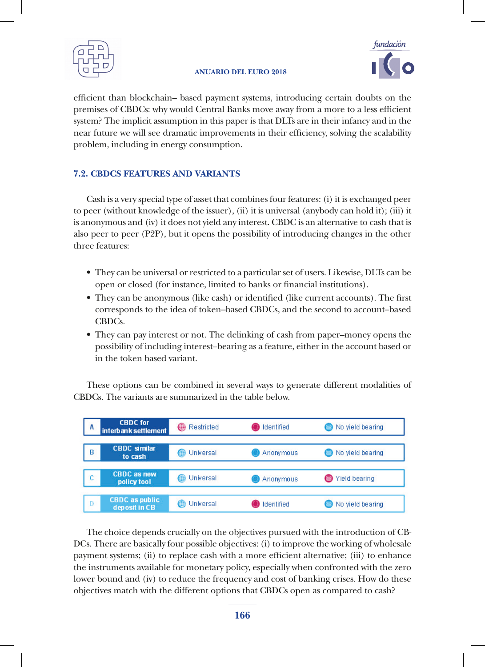



efficient than blockchain– based payment systems, introducing certain doubts on the premises of CBDCs: why would Central Banks move away from a more to a less efficient system? The implicit assumption in this paper is that DLTs are in their infancy and in the near future we will see dramatic improvements in their efficiency, solving the scalability problem, including in energy consumption.

### **7.2. CBDCS FEATURES AND VARIANTS**

Cash is a very special type of asset that combines four features: (i) it is exchanged peer to peer (without knowledge of the issuer), (ii) it is universal (anybody can hold it); (iii) it is anonymous and (iv) it does not yield any interest. CBDC is an alternative to cash that is also peer to peer (P2P), but it opens the possibility of introducing changes in the other three features: nce readings.

- They can be universal or restricted to a particular set of users. Likewise, DLTs can be They can be universal or restricted to a particular set of users. Likewise, DLTs open or closed (for instance, limited to banks or financial institutions).
- $\bullet$  They can be anonymous (like cash) or identified (like current accounts). The first corresponds to the idea of token–based CBDCs, and the second to account–based CBDCs.  $\overline{\mathcal{L}}$ s.
- They can pay interest or not. The delinking of cash from paper–money opens the possibility of including interest–bearing as a feature, either in the account based or in the taken has a majorit in the token based variant.

These options can be combined in several ways to generate different modalities of These options can be combined in several ways to generate different modalities of CBDCs. The variants are summarized in the table below. CBDCs. The variants are summarized in the table below.



The choice depends crucially on the objectives pursued with the introduction of DCs. There are basically four possible objectives: (i) to improve the working of wholesale payment systems; (ii) to replace cash with a more efficient alternative; (iii) to enhance the instruments available for monetary policy, especially when confronted with the zero lower bound and (iv) to reduce the frequency and cost of banking crises. How do these objectives match with the different options that CBDCs open as compared to cash? The choice depends crucially on the objectives pursued with the introduction of CB-

How do these objectives match with the different options that CBDCs open as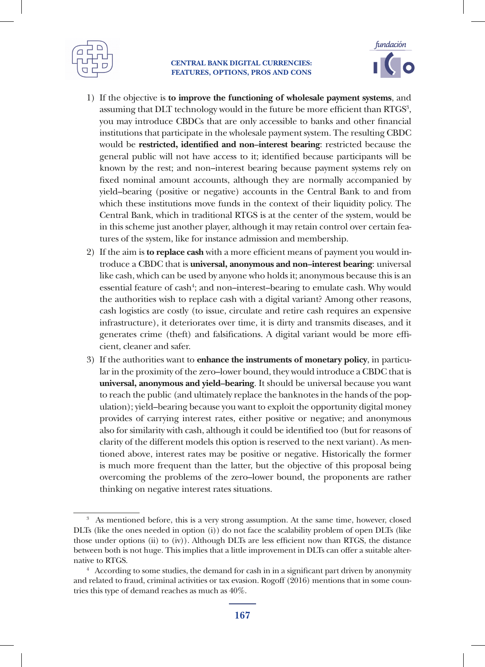



- 1) If the objective is **to improve the functioning of wholesale payment systems**, and assuming that  $\text{DLT}$  technology would in the future be more efficient than  $\text{RTGS}^3$ , you may introduce CBDCs that are only accessible to banks and other financial institutions that participate in the wholesale payment system. The resulting CBDC would be **restricted, identified and non–interest bearing**: restricted because the general public will not have access to it; identified because participants will be known by the rest; and non–interest bearing because payment systems rely on fixed nominal amount accounts, although they are normally accompanied by yield–bearing (positive or negative) accounts in the Central Bank to and from which these institutions move funds in the context of their liquidity policy. The Central Bank, which in traditional RTGS is at the center of the system, would be in this scheme just another player, although it may retain control over certain features of the system, like for instance admission and membership.
- 2) If the aim is **to replace cash** with a more efficient means of payment you would introduce a CBDC that is **universal, anonymous and non–interest bearing**: universal like cash, which can be used by anyone who holds it; anonymous because this is an essential feature of cash<sup>4</sup>; and non-interest-bearing to emulate cash. Why would the authorities wish to replace cash with a digital variant? Among other reasons, cash logistics are costly (to issue, circulate and retire cash requires an expensive infrastructure), it deteriorates over time, it is dirty and transmits diseases, and it generates crime (theft) and falsifications. A digital variant would be more efficient, cleaner and safer.
- 3) If the authorities want to **enhance the instruments of monetary policy**, in particular in the proximity of the zero–lower bound, they would introduce a CBDC that is **universal, anonymous and yield–bearing**. It should be universal because you want to reach the public (and ultimately replace the banknotes in the hands of the population); yield–bearing because you want to exploit the opportunity digital money provides of carrying interest rates, either positive or negative; and anonymous also for similarity with cash, although it could be identified too (but for reasons of clarity of the different models this option is reserved to the next variant). As mentioned above, interest rates may be positive or negative. Historically the former is much more frequent than the latter, but the objective of this proposal being overcoming the problems of the zero–lower bound, the proponents are rather thinking on negative interest rates situations.

<sup>3</sup> As mentioned before, this is a very strong assumption. At the same time, however, closed DLTs (like the ones needed in option (i)) do not face the scalability problem of open DLTs (like those under options (ii) to (iv)). Although DLTs are less efficient now than RTGS, the distance between both is not huge. This implies that a little improvement in DLTs can offer a suitable alternative to RTGS. 4 According to some studies, the demand for cash in in a significant part driven by anonymity

and related to fraud, criminal activities or tax evasion. Rogoff (2016) mentions that in some countries this type of demand reaches as much as 40%.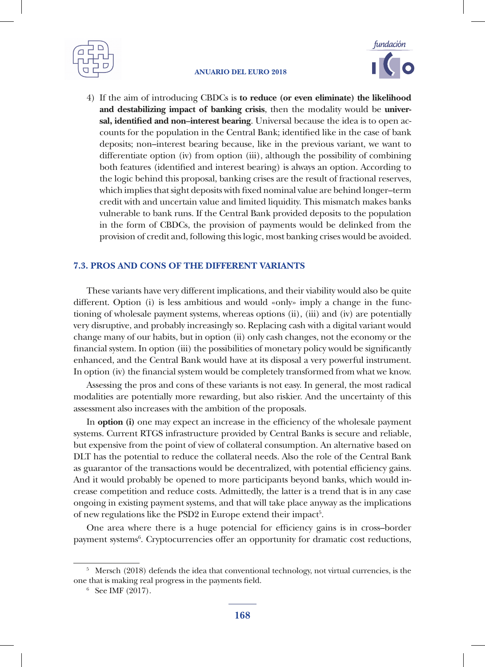



4) If the aim of introducing CBDCs is **to reduce (or even eliminate) the likelihood and destabilizing impact of banking crisis**, then the modality would be **universal, identified and non–interest bearing**. Universal because the idea is to open accounts for the population in the Central Bank; identified like in the case of bank deposits; non–interest bearing because, like in the previous variant, we want to differentiate option (iv) from option (iii), although the possibility of combining both features (identified and interest bearing) is always an option. According to the logic behind this proposal, banking crises are the result of fractional reserves, which implies that sight deposits with fixed nominal value are behind longer–term credit with and uncertain value and limited liquidity. This mismatch makes banks vulnerable to bank runs. If the Central Bank provided deposits to the population in the form of CBDCs, the provision of payments would be delinked from the provision of credit and, following this logic, most banking crises would be avoided.

### **7.3. PROS AND CONS OF THE DIFFERENT VARIANTS**

These variants have very different implications, and their viability would also be quite different. Option (i) is less ambitious and would «only» imply a change in the functioning of wholesale payment systems, whereas options (ii), (iii) and (iv) are potentially very disruptive, and probably increasingly so. Replacing cash with a digital variant would change many of our habits, but in option (ii) only cash changes, not the economy or the financial system. In option (iii) the possibilities of monetary policy would be significantly enhanced, and the Central Bank would have at its disposal a very powerful instrument. In option (iv) the financial system would be completely transformed from what we know.

Assessing the pros and cons of these variants is not easy. In general, the most radical modalities are potentially more rewarding, but also riskier. And the uncertainty of this assessment also increases with the ambition of the proposals.

In **option (i)** one may expect an increase in the efficiency of the wholesale payment systems. Current RTGS infrastructure provided by Central Banks is secure and reliable, but expensive from the point of view of collateral consumption. An alternative based on DLT has the potential to reduce the collateral needs. Also the role of the Central Bank as guarantor of the transactions would be decentralized, with potential efficiency gains. And it would probably be opened to more participants beyond banks, which would increase competition and reduce costs. Admittedly, the latter is a trend that is in any case ongoing in existing payment systems, and that will take place anyway as the implications of new regulations like the PSD2 in Europe extend their impact<sup>5</sup>.

One area where there is a huge potencial for efficiency gains is in cross–border payment systems<sup>6</sup>. Cryptocurrencies offer an opportunity for dramatic cost reductions,

 $5$  Mersch (2018) defends the idea that conventional technology, not virtual currencies, is the one that is making real progress in the payments field.  $\frac{6}{5}$  See IMF (2017).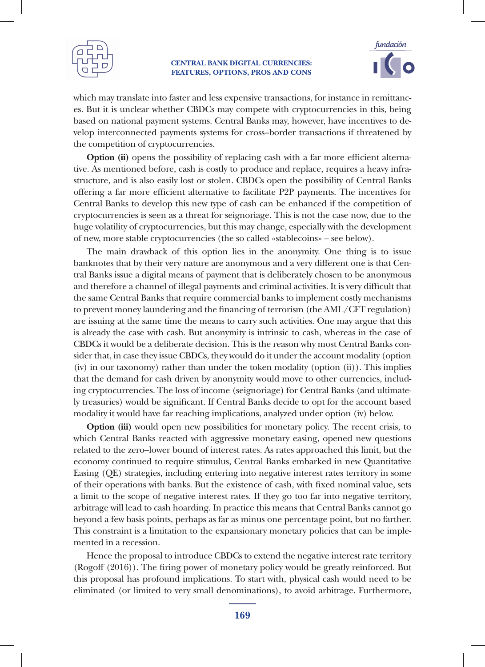



which may translate into faster and less expensive transactions, for instance in remittances. But it is unclear whether CBDCs may compete with cryptocurrencies in this, being based on national payment systems. Central Banks may, however, have incentives to develop interconnected payments systems for cross–border transactions if threatened by the competition of cryptocurrencies.

**Option (ii)** opens the possibility of replacing cash with a far more efficient alternative. As mentioned before, cash is costly to produce and replace, requires a heavy infrastructure, and is also easily lost or stolen. CBDCs open the possibility of Central Banks offering a far more efficient alternative to facilitate P2P payments. The incentives for Central Banks to develop this new type of cash can be enhanced if the competition of cryptocurrencies is seen as a threat for seignoriage. This is not the case now, due to the huge volatility of cryptocurrencies, but this may change, especially with the development of new, more stable cryptocurrencies (the so called «stablecoins» – see below).

The main drawback of this option lies in the anonymity. One thing is to issue banknotes that by their very nature are anonymous and a very different one is that Central Banks issue a digital means of payment that is deliberately chosen to be anonymous and therefore a channel of illegal payments and criminal activities. It is very difficult that the same Central Banks that require commercial banks to implement costly mechanisms to prevent money laundering and the financing of terrorism (the AML/CFT regulation) are issuing at the same time the means to carry such activities. One may argue that this is already the case with cash. But anonymity is intrinsic to cash, whereas in the case of CBDCs it would be a deliberate decision. This is the reason why most Central Banks consider that, in case they issue CBDCs, they would do it under the account modality (option (iv) in our taxonomy) rather than under the token modality (option (ii)). This implies that the demand for cash driven by anonymity would move to other currencies, including cryptocurrencies. The loss of income (seignoriage) for Central Banks (and ultimately treasuries) would be significant. If Central Banks decide to opt for the account based modality it would have far reaching implications, analyzed under option (iv) below.

**Option (iii)** would open new possibilities for monetary policy. The recent crisis, to which Central Banks reacted with aggressive monetary easing, opened new questions related to the zero–lower bound of interest rates. As rates approached this limit, but the economy continued to require stimulus, Central Banks embarked in new Quantitative Easing (QE) strategies, including entering into negative interest rates territory in some of their operations with banks. But the existence of cash, with fixed nominal value, sets a limit to the scope of negative interest rates. If they go too far into negative territory, arbitrage will lead to cash hoarding. In practice this means that Central Banks cannot go beyond a few basis points, perhaps as far as minus one percentage point, but no farther. This constraint is a limitation to the expansionary monetary policies that can be implemented in a recession.

Hence the proposal to introduce CBDCs to extend the negative interest rate territory (Rogoff (2016)). The firing power of monetary policy would be greatly reinforced. But this proposal has profound implications. To start with, physical cash would need to be eliminated (or limited to very small denominations), to avoid arbitrage. Furthermore,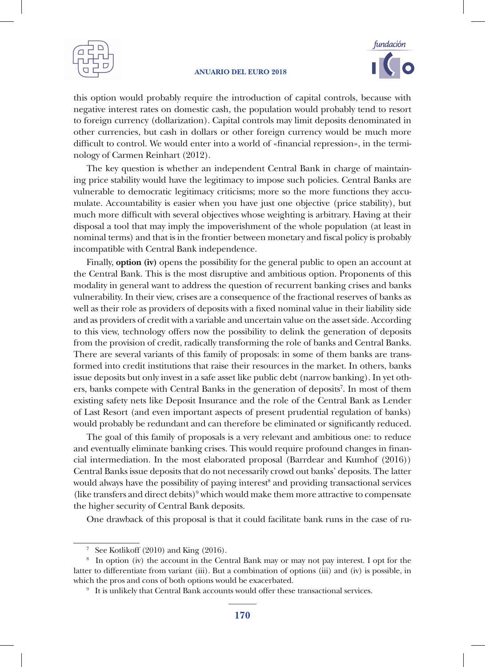



this option would probably require the introduction of capital controls, because with negative interest rates on domestic cash, the population would probably tend to resort to foreign currency (dollarization). Capital controls may limit deposits denominated in other currencies, but cash in dollars or other foreign currency would be much more difficult to control. We would enter into a world of «financial repression», in the terminology of Carmen Reinhart (2012).

The key question is whether an independent Central Bank in charge of maintaining price stability would have the legitimacy to impose such policies. Central Banks are vulnerable to democratic legitimacy criticisms; more so the more functions they accumulate. Accountability is easier when you have just one objective (price stability), but much more difficult with several objectives whose weighting is arbitrary. Having at their disposal a tool that may imply the impoverishment of the whole population (at least in nominal terms) and that is in the frontier between monetary and fiscal policy is probably incompatible with Central Bank independence.

Finally, **option (iv)** opens the possibility for the general public to open an account at the Central Bank. This is the most disruptive and ambitious option. Proponents of this modality in general want to address the question of recurrent banking crises and banks vulnerability. In their view, crises are a consequence of the fractional reserves of banks as well as their role as providers of deposits with a fixed nominal value in their liability side and as providers of credit with a variable and uncertain value on the asset side. According to this view, technology offers now the possibility to delink the generation of deposits from the provision of credit, radically transforming the role of banks and Central Banks. There are several variants of this family of proposals: in some of them banks are transformed into credit institutions that raise their resources in the market. In others, banks issue deposits but only invest in a safe asset like public debt (narrow banking). In yet others, banks compete with Central Banks in the generation of deposits<sup>7</sup>. In most of them existing safety nets like Deposit Insurance and the role of the Central Bank as Lender of Last Resort (and even important aspects of present prudential regulation of banks) would probably be redundant and can therefore be eliminated or significantly reduced.

The goal of this family of proposals is a very relevant and ambitious one: to reduce and eventually eliminate banking crises. This would require profound changes in financial intermediation. In the most elaborated proposal (Barrdear and Kumhof (2016)) Central Banks issue deposits that do not necessarily crowd out banks' deposits. The latter would always have the possibility of paying interest<sup>8</sup> and providing transactional services (like transfers and direct debits) $9$  which would make them more attractive to compensate the higher security of Central Bank deposits.

One drawback of this proposal is that it could facilitate bank runs in the case of ru-

<sup>&</sup>lt;sup>7</sup> See Kotlikoff (2010) and King (2016).

<sup>8</sup> In option (iv) the account in the Central Bank may or may not pay interest. I opt for the latter to differentiate from variant (iii). But a combination of options (iii) and (iv) is possible, in which the pros and cons of both options would be exacerbated.<br><sup>9</sup> It is unlikely that Central Bank accounts would offer these transactional services.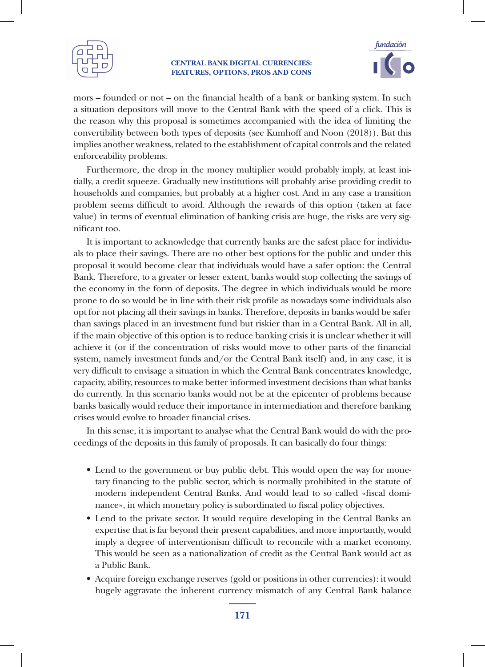



mors – founded or not – on the financial health of a bank or banking system. In such a situation depositors will move to the Central Bank with the speed of a click. This is the reason why this proposal is sometimes accompanied with the idea of limiting the convertibility between both types of deposits (see Kumhoff and Noon (2018)). But this implies another weakness, related to the establishment of capital controls and the related enforceability problems.

Furthermore, the drop in the money multiplier would probably imply, at least initially, a credit squeeze. Gradually new institutions will probably arise providing credit to households and companies, but probably at a higher cost. And in any case a transition problem seems difficult to avoid. Although the rewards of this option (taken at face value) in terms of eventual elimination of banking crisis are huge, the risks are very significant too.

It is important to acknowledge that currently banks are the safest place for individuals to place their savings. There are no other best options for the public and under this proposal it would become clear that individuals would have a safer option: the Central Bank. Therefore, to a greater or lesser extent, banks would stop collecting the savings of the economy in the form of deposits. The degree in which individuals would be more prone to do so would be in line with their risk profile as nowadays some individuals also opt for not placing all their savings in banks. Therefore, deposits in banks would be safer than savings placed in an investment fund but riskier than in a Central Bank. All in all, if the main objective of this option is to reduce banking crisis it is unclear whether it will achieve it (or if the concentration of risks would move to other parts of the financial system, namely investment funds and/or the Central Bank itself) and, in any case, it is very difficult to envisage a situation in which the Central Bank concentrates knowledge, capacity, ability, resources to make better informed investment decisions than what banks do currently. In this scenario banks would not be at the epicenter of problems because banks basically would reduce their importance in intermediation and therefore banking crises would evolve to broader financial crises.

In this sense, it is important to analyse what the Central Bank would do with the proceedings of the deposits in this family of proposals. It can basically do four things:

- Lend to the government or buy public debt. This would open the way for monetary financing to the public sector, which is normally prohibited in the statute of modern independent Central Banks. And would lead to so called «fiscal dominance», in which monetary policy is subordinated to fiscal policy objectives.
- Lend to the private sector. It would require developing in the Central Banks an expertise that is far beyond their present capabilities, and more importantly, would imply a degree of interventionism difficult to reconcile with a market economy. This would be seen as a nationalization of credit as the Central Bank would act as a Public Bank.
- Acquire foreign exchange reserves (gold or positions in other currencies): it would hugely aggravate the inherent currency mismatch of any Central Bank balance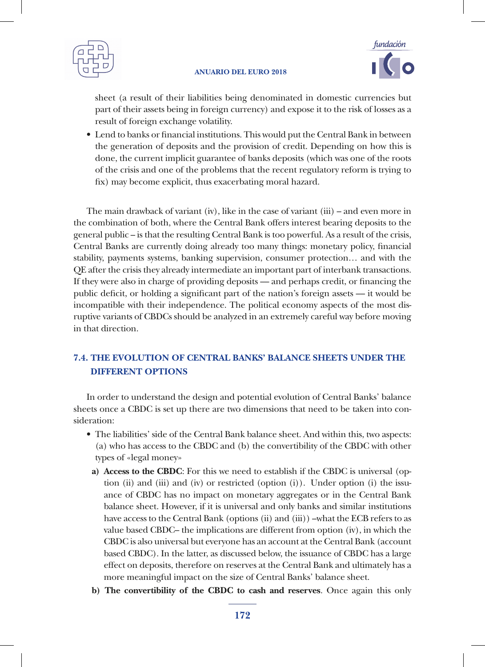



sheet (a result of their liabilities being denominated in domestic currencies but part of their assets being in foreign currency) and expose it to the risk of losses as a result of foreign exchange volatility.

• Lend to banks or financial institutions. This would put the Central Bank in between the generation of deposits and the provision of credit. Depending on how this is done, the current implicit guarantee of banks deposits (which was one of the roots of the crisis and one of the problems that the recent regulatory reform is trying to fix) may become explicit, thus exacerbating moral hazard.

The main drawback of variant (iv), like in the case of variant (iii) – and even more in the combination of both, where the Central Bank offers interest bearing deposits to the general public – is that the resulting Central Bank is too powerful. As a result of the crisis, Central Banks are currently doing already too many things: monetary policy, financial stability, payments systems, banking supervision, consumer protection… and with the QE after the crisis they already intermediate an important part of interbank transactions. If they were also in charge of providing deposits –– and perhaps credit, or financing the public deficit, or holding a significant part of the nation's foreign assets –– it would be incompatible with their independence. The political economy aspects of the most disruptive variants of CBDCs should be analyzed in an extremely careful way before moving in that direction.

# **7.4. THE EVOLUTION OF CENTRAL BANKS' BALANCE SHEETS UNDER THE DIFFERENT OPTIONS**

In order to understand the design and potential evolution of Central Banks' balance sheets once a CBDC is set up there are two dimensions that need to be taken into consideration:

- The liabilities' side of the Central Bank balance sheet. And within this, two aspects: (a) who has access to the CBDC and (b) the convertibility of the CBDC with other types of «legal money»
	- **a) Access to the CBDC**: For this we need to establish if the CBDC is universal (option (ii) and (iii) and (iv) or restricted (option (i)). Under option (i) the issuance of CBDC has no impact on monetary aggregates or in the Central Bank balance sheet. However, if it is universal and only banks and similar institutions have access to the Central Bank (options (ii) and (iii)) –what the ECB refers to as value based CBDC– the implications are different from option (iv), in which the CBDC is also universal but everyone has an account at the Central Bank (account based CBDC). In the latter, as discussed below, the issuance of CBDC has a large effect on deposits, therefore on reserves at the Central Bank and ultimately has a more meaningful impact on the size of Central Banks' balance sheet.
	- **b) The convertibility of the CBDC to cash and reserves**. Once again this only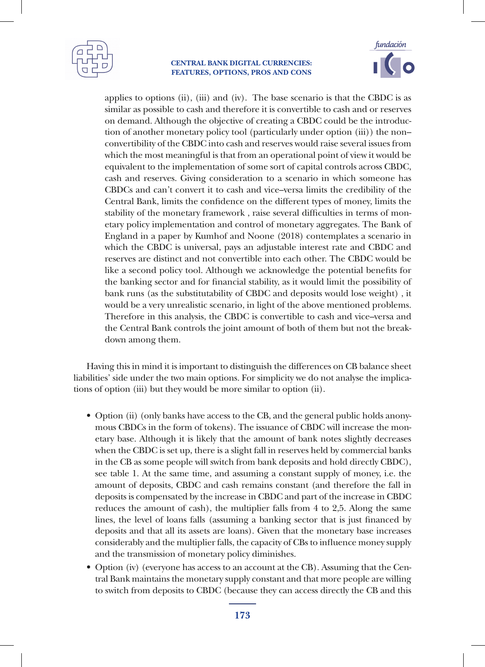



applies to options (ii), (iii) and (iv). The base scenario is that the CBDC is as similar as possible to cash and therefore it is convertible to cash and or reserves on demand. Although the objective of creating a CBDC could be the introduction of another monetary policy tool (particularly under option (iii)) the non– convertibility of the CBDC into cash and reserves would raise several issues from which the most meaningful is that from an operational point of view it would be equivalent to the implementation of some sort of capital controls across CBDC, cash and reserves. Giving consideration to a scenario in which someone has CBDCs and can't convert it to cash and vice–versa limits the credibility of the Central Bank, limits the confidence on the different types of money, limits the stability of the monetary framework , raise several difficulties in terms of monetary policy implementation and control of monetary aggregates. The Bank of England in a paper by Kumhof and Noone (2018) contemplates a scenario in which the CBDC is universal, pays an adjustable interest rate and CBDC and reserves are distinct and not convertible into each other. The CBDC would be like a second policy tool. Although we acknowledge the potential benefits for the banking sector and for financial stability, as it would limit the possibility of bank runs (as the substitutability of CBDC and deposits would lose weight) , it would be a very unrealistic scenario, in light of the above mentioned problems. Therefore in this analysis, the CBDC is convertible to cash and vice–versa and the Central Bank controls the joint amount of both of them but not the breakdown among them.

Having this in mind it is important to distinguish the differences on CB balance sheet liabilities' side under the two main options. For simplicity we do not analyse the implications of option (iii) but they would be more similar to option (ii).

- Option (ii) (only banks have access to the CB, and the general public holds anonymous CBDCs in the form of tokens). The issuance of CBDC will increase the monetary base. Although it is likely that the amount of bank notes slightly decreases when the CBDC is set up, there is a slight fall in reserves held by commercial banks in the CB as some people will switch from bank deposits and hold directly CBDC), see table 1. At the same time, and assuming a constant supply of money, i.e. the amount of deposits, CBDC and cash remains constant (and therefore the fall in deposits is compensated by the increase in CBDC and part of the increase in CBDC reduces the amount of cash), the multiplier falls from 4 to 2,5. Along the same lines, the level of loans falls (assuming a banking sector that is just financed by deposits and that all its assets are loans). Given that the monetary base increases considerably and the multiplier falls, the capacity of CBs to influence money supply and the transmission of monetary policy diminishes.
- Option (iv) (everyone has access to an account at the CB). Assuming that the Central Bank maintains the monetary supply constant and that more people are willing to switch from deposits to CBDC (because they can access directly the CB and this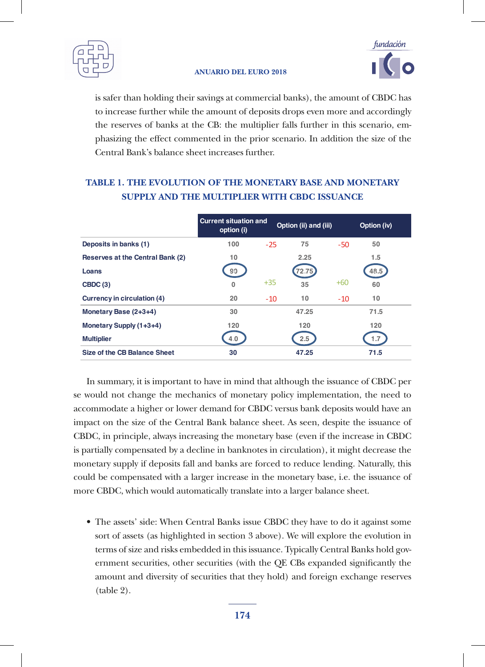



is safer than holding their savings at commercial banks), the amount of CBDC has to increase further while the amount of deposits drops even more and accordingly the reserves of banks at the CB: the multiplier falls further in this scenario, emphasizing the effect commented in the prior scenario. In addition the size of the Central Bank's balance sheet increases further.

# **TABLE 1. THE EVOLUTION OF THE MONETARY BASE AND MONETARY SUPPLY AND THE MULTIPLIER WITH CBDC ISSUANCE**

|                                  | <b>Current situation and</b><br>option (i) |       | Option (ii) and (iii) |       | Option (iv) |
|----------------------------------|--------------------------------------------|-------|-----------------------|-------|-------------|
| Deposits in banks (1)            | 100                                        | $-25$ | 75                    | $-50$ | 50          |
| Reserves at the Central Bank (2) | 10                                         |       | 2.25                  |       | 1.5         |
| Loans                            | 90                                         |       | 72.75                 |       | 48.5        |
| CBDC(3)                          | $\Omega$                                   | $+35$ | 35                    | $+60$ | 60          |
| Currency in circulation (4)      | 20                                         | $-10$ | 10                    | $-10$ | 10          |
| Monetary Base (2+3+4)            | 30                                         |       | 47.25                 |       | 71.5        |
| Monetary Supply (1+3+4)          | 120                                        |       | 120                   |       | 120         |
| <b>Multiplier</b>                | 4.0                                        |       | 2.5                   |       | 1.7         |
| Size of the CB Balance Sheet     | 30                                         |       | 47.25                 |       | 71.5        |

se would not change the mechanics of monetary policy implementation, the need to accommodate a higher or lower demand for CBDC versus bank deposits would have an In summary, it is important to have in mind that although the issuance of CBDC per impact on the size of the Central Bank balance sheet. As seen, despite the issuance of CBDC, in principle, always increasing the monetary base (even if the increase in CBDC is partially compensated by a decline in banknotes in circulation), it might decrease the monetary supply if deposits fall and banks are forced to reduce lending. Naturally, this could be compensated with a larger increase in the monetary base, i.e. the issuance of more CBDC, which would automatically translate into a larger balance sheet.

• The assets' side: When Central Banks issue CBDC they have to do it against some sort of assets (as highlighted in section 3 above). We will explore the evolution in terms of size and risks embedded in this issuance. Typically Central Banks hold government securities, other securities (with the QE CBs expanded significantly the amount and diversity of securities that they hold) and foreign exchange reserves (table 2).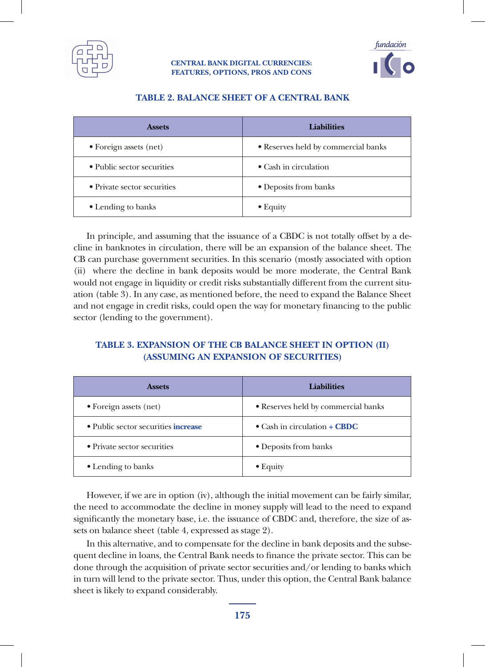



| <b>Assets</b>               | <b>Liabilities</b>                  |
|-----------------------------|-------------------------------------|
| • Foreign assets (net)      | • Reserves held by commercial banks |
| • Public sector securities  | $\bullet$ Cash in circulation       |
| • Private sector securities | • Deposits from banks               |
| • Lending to banks          | $\bullet$ Equity                    |

### **TABLE 2. BALANCE SHEET OF A CENTRAL BANK**

In principle, and assuming that the issuance of a CBDC is not totally offset by a decline in banknotes in circulation, there will be an expansion of the balance sheet. The CB can purchase government securities. In this scenario (mostly associated with option (ii) where the decline in bank deposits would be more moderate, the Central Bank would not engage in liquidity or credit risks substantially different from the current situation (table 3). In any case, as mentioned before, the need to expand the Balance Sheet and not engage in credit risks, could open the way for monetary financing to the public sector (lending to the government).

### **TABLE 3. EXPANSION OF THE CB BALANCE SHEET IN OPTION (II) (ASSUMING AN EXPANSION OF SECURITIES)**

| <b>Assets</b>                       | <b>Liabilities</b>                  |  |  |
|-------------------------------------|-------------------------------------|--|--|
| • Foreign assets (net)              | • Reserves held by commercial banks |  |  |
| • Public sector securities increase | • Cash in circulation $+$ CBDC      |  |  |
| • Private sector securities         | • Deposits from banks               |  |  |
| • Lending to banks                  | $\bullet$ Equity                    |  |  |

However, if we are in option (iv), although the initial movement can be fairly similar, the need to accommodate the decline in money supply will lead to the need to expand significantly the monetary base, i.e. the issuance of CBDC and, therefore, the size of assets on balance sheet (table 4, expressed as stage 2).

In this alternative, and to compensate for the decline in bank deposits and the subsequent decline in loans, the Central Bank needs to finance the private sector. This can be done through the acquisition of private sector securities and/or lending to banks which in turn will lend to the private sector. Thus, under this option, the Central Bank balance sheet is likely to expand considerably.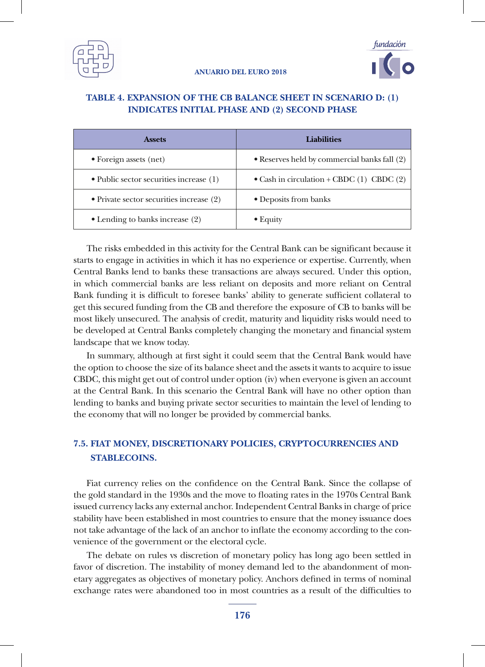



### **TABLE 4. EXPANSION OF THE CB BALANCE SHEET IN SCENARIO D: (1) INDICATES INITIAL PHASE AND (2) SECOND PHASE**

| <b>Assets</b>                                   | Liabilities                                   |  |  |
|-------------------------------------------------|-----------------------------------------------|--|--|
| • Foreign assets (net)                          | • Reserves held by commercial banks fall (2)  |  |  |
| $\bullet$ Public sector securities increase (1) | • Cash in circulation + CBDC $(1)$ CBDC $(2)$ |  |  |
| • Private sector securities increase $(2)$      | • Deposits from banks                         |  |  |
| $\bullet$ Lending to banks increase (2)         | $\bullet$ Equity                              |  |  |

The risks embedded in this activity for the Central Bank can be significant because it starts to engage in activities in which it has no experience or expertise. Currently, when Central Banks lend to banks these transactions are always secured. Under this option, in which commercial banks are less reliant on deposits and more reliant on Central Bank funding it is difficult to foresee banks' ability to generate sufficient collateral to get this secured funding from the CB and therefore the exposure of CB to banks will be most likely unsecured. The analysis of credit, maturity and liquidity risks would need to be developed at Central Banks completely changing the monetary and financial system landscape that we know today.

In summary, although at first sight it could seem that the Central Bank would have the option to choose the size of its balance sheet and the assets it wants to acquire to issue CBDC, this might get out of control under option (iv) when everyone is given an account at the Central Bank. In this scenario the Central Bank will have no other option than lending to banks and buying private sector securities to maintain the level of lending to the economy that will no longer be provided by commercial banks.

## **7.5. FIAT MONEY, DISCRETIONARY POLICIES, CRYPTOCURRENCIES AND STABLECOINS.**

Fiat currency relies on the confidence on the Central Bank. Since the collapse of the gold standard in the 1930s and the move to floating rates in the 1970s Central Bank issued currency lacks any external anchor. Independent Central Banks in charge of price stability have been established in most countries to ensure that the money issuance does not take advantage of the lack of an anchor to inflate the economy according to the convenience of the government or the electoral cycle.

The debate on rules vs discretion of monetary policy has long ago been settled in favor of discretion. The instability of money demand led to the abandonment of monetary aggregates as objectives of monetary policy. Anchors defined in terms of nominal exchange rates were abandoned too in most countries as a result of the difficulties to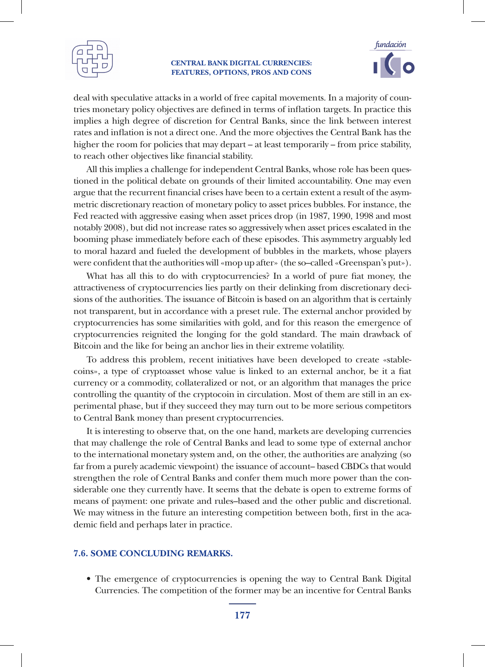



deal with speculative attacks in a world of free capital movements. In a majority of countries monetary policy objectives are defined in terms of inflation targets. In practice this implies a high degree of discretion for Central Banks, since the link between interest rates and inflation is not a direct one. And the more objectives the Central Bank has the higher the room for policies that may depart – at least temporarily – from price stability, to reach other objectives like financial stability.

All this implies a challenge for independent Central Banks, whose role has been questioned in the political debate on grounds of their limited accountability. One may even argue that the recurrent financial crises have been to a certain extent a result of the asymmetric discretionary reaction of monetary policy to asset prices bubbles. For instance, the Fed reacted with aggressive easing when asset prices drop (in 1987, 1990, 1998 and most notably 2008), but did not increase rates so aggressively when asset prices escalated in the booming phase immediately before each of these episodes. This asymmetry arguably led to moral hazard and fueled the development of bubbles in the markets, whose players were confident that the authorities will «mop up after» (the so–called «Greenspan's put»).

What has all this to do with cryptocurrencies? In a world of pure fiat money, the attractiveness of cryptocurrencies lies partly on their delinking from discretionary decisions of the authorities. The issuance of Bitcoin is based on an algorithm that is certainly not transparent, but in accordance with a preset rule. The external anchor provided by cryptocurrencies has some similarities with gold, and for this reason the emergence of cryptocurrencies reignited the longing for the gold standard. The main drawback of Bitcoin and the like for being an anchor lies in their extreme volatility.

To address this problem, recent initiatives have been developed to create «stablecoins», a type of cryptoasset whose value is linked to an external anchor, be it a fiat currency or a commodity, collateralized or not, or an algorithm that manages the price controlling the quantity of the cryptocoin in circulation. Most of them are still in an experimental phase, but if they succeed they may turn out to be more serious competitors to Central Bank money than present cryptocurrencies.

It is interesting to observe that, on the one hand, markets are developing currencies that may challenge the role of Central Banks and lead to some type of external anchor to the international monetary system and, on the other, the authorities are analyzing (so far from a purely academic viewpoint) the issuance of account– based CBDCs that would strengthen the role of Central Banks and confer them much more power than the considerable one they currently have. It seems that the debate is open to extreme forms of means of payment: one private and rules–based and the other public and discretional. We may witness in the future an interesting competition between both, first in the academic field and perhaps later in practice.

### **7.6. SOME CONCLUDING REMARKS.**

• The emergence of cryptocurrencies is opening the way to Central Bank Digital Currencies. The competition of the former may be an incentive for Central Banks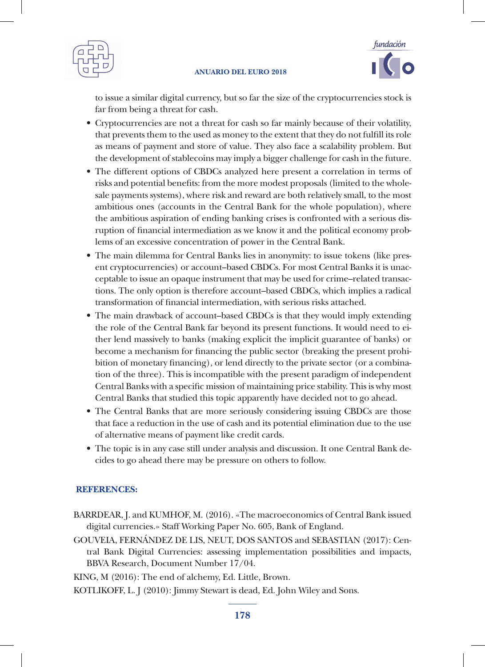



to issue a similar digital currency, but so far the size of the cryptocurrencies stock is far from being a threat for cash.

- Cryptocurrencies are not a threat for cash so far mainly because of their volatility, that prevents them to the used as money to the extent that they do not fulfill its role as means of payment and store of value. They also face a scalability problem. But the development of stablecoins may imply a bigger challenge for cash in the future.
- The different options of CBDCs analyzed here present a correlation in terms of risks and potential benefits: from the more modest proposals (limited to the wholesale payments systems), where risk and reward are both relatively small, to the most ambitious ones (accounts in the Central Bank for the whole population), where the ambitious aspiration of ending banking crises is confronted with a serious disruption of financial intermediation as we know it and the political economy problems of an excessive concentration of power in the Central Bank.
- The main dilemma for Central Banks lies in anonymity: to issue tokens (like present cryptocurrencies) or account–based CBDCs. For most Central Banks it is unacceptable to issue an opaque instrument that may be used for crime–related transactions. The only option is therefore account–based CBDCs, which implies a radical transformation of financial intermediation, with serious risks attached.
- The main drawback of account–based CBDCs is that they would imply extending the role of the Central Bank far beyond its present functions. It would need to either lend massively to banks (making explicit the implicit guarantee of banks) or become a mechanism for financing the public sector (breaking the present prohibition of monetary financing), or lend directly to the private sector (or a combination of the three). This is incompatible with the present paradigm of independent Central Banks with a specific mission of maintaining price stability. This is why most Central Banks that studied this topic apparently have decided not to go ahead.
- The Central Banks that are more seriously considering issuing CBDCs are those that face a reduction in the use of cash and its potential elimination due to the use of alternative means of payment like credit cards.
- The topic is in any case still under analysis and discussion. It one Central Bank decides to go ahead there may be pressure on others to follow.

### **REFERENCES:**

- BARRDEAR, J. and KUMHOF, M. (2016). «The macroeconomics of Central Bank issued digital currencies.» Staff Working Paper No. 605, Bank of England.
- GOUVEIA, FERNÁNDEZ DE LIS, NEUT, DOS SANTOS and SEBASTIAN (2017): Central Bank Digital Currencies: assessing implementation possibilities and impacts, BBVA Research, Document Number 17/04.

KING, M (2016): The end of alchemy, Ed. Little, Brown.

KOTLIKOFF, L. J (2010): Jimmy Stewart is dead, Ed. John Wiley and Sons.